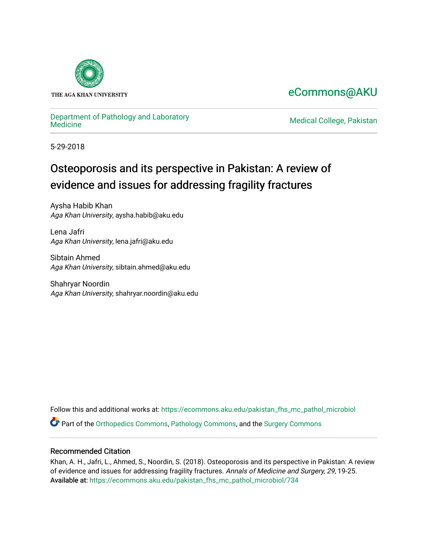

## [eCommons@AKU](https://ecommons.aku.edu/)

# [Department of Pathology and Laboratory](https://ecommons.aku.edu/pakistan_fhs_mc_pathol_microbiol)

Medical College, Pakistan

5-29-2018

# Osteoporosis and its perspective in Pakistan: A review of evidence and issues for addressing fragility fractures

Aysha Habib Khan Aga Khan University, aysha.habib@aku.edu

Lena Jafri Aga Khan University, lena.jafri@aku.edu

Sibtain Ahmed Aga Khan University, sibtain.ahmed@aku.edu

Shahryar Noordin Aga Khan University, shahryar.noordin@aku.edu

Follow this and additional works at: [https://ecommons.aku.edu/pakistan\\_fhs\\_mc\\_pathol\\_microbiol](https://ecommons.aku.edu/pakistan_fhs_mc_pathol_microbiol?utm_source=ecommons.aku.edu%2Fpakistan_fhs_mc_pathol_microbiol%2F734&utm_medium=PDF&utm_campaign=PDFCoverPages)  Part of the [Orthopedics Commons](http://network.bepress.com/hgg/discipline/696?utm_source=ecommons.aku.edu%2Fpakistan_fhs_mc_pathol_microbiol%2F734&utm_medium=PDF&utm_campaign=PDFCoverPages), [Pathology Commons,](http://network.bepress.com/hgg/discipline/699?utm_source=ecommons.aku.edu%2Fpakistan_fhs_mc_pathol_microbiol%2F734&utm_medium=PDF&utm_campaign=PDFCoverPages) and the [Surgery Commons](http://network.bepress.com/hgg/discipline/706?utm_source=ecommons.aku.edu%2Fpakistan_fhs_mc_pathol_microbiol%2F734&utm_medium=PDF&utm_campaign=PDFCoverPages)

### Recommended Citation

Khan, A. H., Jafri, L., Ahmed, S., Noordin, S. (2018). Osteoporosis and its perspective in Pakistan: A review of evidence and issues for addressing fragility fractures. Annals of Medicine and Surgery, 29, 19-25. Available at: [https://ecommons.aku.edu/pakistan\\_fhs\\_mc\\_pathol\\_microbiol/734](https://ecommons.aku.edu/pakistan_fhs_mc_pathol_microbiol/734)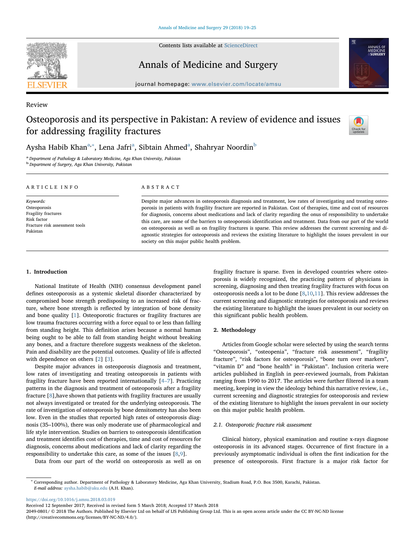

Contents lists available at [ScienceDirect](http://www.sciencedirect.com/science/journal/20490801)

Annals of Medicine and Surgery



journal homepage: [www.elsevier.com/locate/amsu](https://www.elsevier.com/locate/amsu)

### Review

### Osteoporosis and its perspective in Pakistan: A review of evidence and issues for addressing fragility fractures



Aysh[a](#page-1-0) Habib Khan<sup>a,[∗](#page-1-1)</sup>, Lena Jafri<sup>a</sup>, Si[b](#page-1-2)tain Ahmed<sup>a</sup>, Shahryar Noordin<sup>b</sup>

<span id="page-1-0"></span>a<br>Department of Pathology & Laboratory Medicine, Aga Khan University, Pakistan

<span id="page-1-2"></span>b Department of Surgery, Aga Khan University, Pakistan

#### ARTICLE INFO

Keywords: **Osteoporosis** Fragility fractures Risk factor Fracture risk assessment tools Pakistan

#### ABSTRACT

Despite major advances in osteoporosis diagnosis and treatment, low rates of investigating and treating osteoporosis in patients with fragility fracture are reported in Pakistan. Cost of therapies, time and cost of resources for diagnosis, concerns about medications and lack of clarity regarding the onus of responsibility to undertake this care, are some of the barriers to osteoporosis identification and treatment. Data from our part of the world on osteoporosis as well as on fragility fractures is sparse. This review addresses the current screening and diagnostic strategies for osteoporosis and reviews the existing literature to highlight the issues prevalent in our society on this major public health problem.

#### 1. Introduction

National Institute of Health (NIH) consensus development panel defines osteoporosis as a systemic skeletal disorder characterized by compromised bone strength predisposing to an increased risk of fracture, where bone strength is reflected by integration of bone density and bone quality [[1](#page-6-0)]. Osteoporotic fractures or fragility fractures are low trauma fractures occurring with a force equal to or less than falling from standing height. This definition arises because a normal human being ought to be able to fall from standing height without breaking any bones, and a fracture therefore suggests weakness of the skeleton. Pain and disability are the potential outcomes. Quality of life is affected with dependence on others [\[2\]](#page-6-1) [[3](#page-6-2)].

Despite major advances in osteoporosis diagnosis and treatment, low rates of investigating and treating osteoporosis in patients with fragility fracture have been reported internationally [\[4](#page-6-3)–7]. Practicing patterns in the diagnosis and treatment of osteoporosis after a fragility fracture [[8](#page-6-4)],have shown that patients with fragility fractures are usually not always investigated or treated for the underlying osteoporosis. The rate of investigation of osteoporosis by bone densitometry has also been low. Even in the studies that reported high rates of osteoporosis diagnosis (35–100%), there was only moderate use of pharmacological and life style intervention. Studies on barriers to osteoporosis identification and treatment identifies cost of therapies, time and cost of resources for diagnosis, concerns about medications and lack of clarity regarding the responsibility to undertake this care, as some of the issues [[8](#page-6-4)[,9\]](#page-6-5).

Data from our part of the world on osteoporosis as well as on

fragility fracture is sparse. Even in developed countries where osteoporosis is widely recognized, the practicing pattern of physicians in screening, diagnosing and then treating fragility fractures with focus on osteoporosis needs a lot to be done [[8](#page-6-4)[,10](#page-6-6),[11\]](#page-6-7). This review addresses the current screening and diagnostic strategies for osteoporosis and reviews the existing literature to highlight the issues prevalent in our society on this significant public health problem.

#### 2. Methodology

Articles from Google scholar were selected by using the search terms "Osteoporosis", "osteopenia", "fracture risk assessment", "fragility fracture", "risk factors for osteoporosis", "bone turn over markers", "vitamin D" and "bone health" in "Pakistan". Inclusion criteria were articles published in English in peer-reviewed journals, from Pakistan ranging from 1990 to 2017. The articles were further filtered in a team meeting, keeping in view the ideology behind this narrative review, i.e., current screening and diagnostic strategies for osteoporosis and review of the existing literature to highlight the issues prevalent in our society on this major public health problem.

#### 2.1. Osteoporotic fracture risk assessment

Clinical history, physical examination and routine x-rays diagnose osteoporosis in its advanced stages. Occurrence of first fracture in a previously asymptomatic individual is often the first indication for the presence of osteoporosis. First fracture is a major risk factor for

<span id="page-1-1"></span><sup>∗</sup> Corresponding author. Department of Pathology & Laboratory Medicine, Aga Khan University, Stadium Road, P.O. Box 3500, Karachi, Pakistan. E-mail address: [aysha.habib@aku.edu](mailto:aysha.habib@aku.edu) (A.H. Khan).

<https://doi.org/10.1016/j.amsu.2018.03.019>

Received 12 September 2017; Received in revised form 5 March 2018; Accepted 17 March 2018

2049-0801/ © 2018 The Authors. Published by Elsevier Ltd on behalf of IJS Publishing Group Ltd. This is an open access article under the CC BY-NC-ND license (http://creativecommons.org/licenses/BY-NC-ND/4.0/).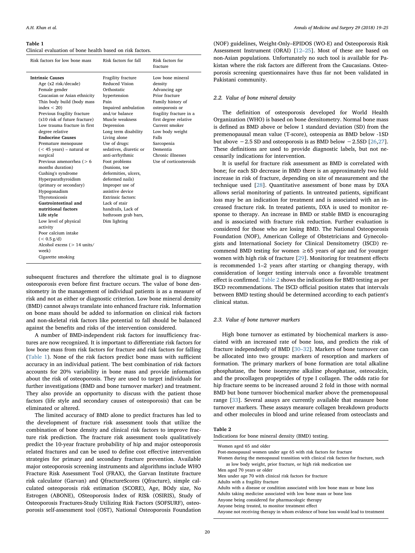#### <span id="page-2-0"></span>Table 1

| Clinical evaluation of bone health based on risk factors. |
|-----------------------------------------------------------|
|-----------------------------------------------------------|

| Risk factors for low bone mass                                                                                                                                                                                                                                                                                                                                                                                                                                                                                                                                                                                                                                                                                                      | Risk factors for fall                                                                                                                                                                                                                                                                                                                                                                                                                                                               | Risk factors for<br>fracture                                                                                                                                                                                                                                                      |
|-------------------------------------------------------------------------------------------------------------------------------------------------------------------------------------------------------------------------------------------------------------------------------------------------------------------------------------------------------------------------------------------------------------------------------------------------------------------------------------------------------------------------------------------------------------------------------------------------------------------------------------------------------------------------------------------------------------------------------------|-------------------------------------------------------------------------------------------------------------------------------------------------------------------------------------------------------------------------------------------------------------------------------------------------------------------------------------------------------------------------------------------------------------------------------------------------------------------------------------|-----------------------------------------------------------------------------------------------------------------------------------------------------------------------------------------------------------------------------------------------------------------------------------|
| <b>Intrinsic Causes</b><br>Age (x2 risk/decade)<br>Female gender<br>Caucasian or Asian ethnicity<br>Thin body build (body mass<br>index $<$ 20)<br>Previous fragility fracture<br>(x10 risk of future fracture)<br>Low trauma fracture in first<br>degree relative<br><b>Endocrine Causes</b><br>Premature menopause<br>$(< 45$ years) – natural or<br>surgical<br>Previous amenorrhea ( $> 6$<br>months duration)<br>Cushing's syndrome<br>Hyperparathyroidism<br>(primary or secondary)<br>Hypogonadism<br>Thyrotoxicosis<br>Gastrointestinal and<br>nutritional factors<br>Life style<br>Low level of physical<br>activity<br>Poor calcium intake<br>(< 0.5 g/d)<br>Alcohol excess $($ > 14 units/<br>week)<br>Cigarette smoking | Fragility fracture<br>Reduced Vision<br>Orthostatic<br>hypertension<br>Pain<br>Impaired ambulation<br>and/or balance<br>Muscle weakness<br>Depression<br>Long term disability<br>Living alone<br>Use of drugs:<br>sedatives, diuretic or<br>anti-arrhythmic<br>Foot problems<br>(bunions, toe<br>deformities, ulcers,<br>deformed nails)<br>Improper use of<br>assistive device<br>Extrinsic factors:<br>Lack of stair<br>handrails, Lack of<br>bathroom grab bars,<br>Dim lighting | Low bone mineral<br>density<br>Advancing age<br>Prior fracture<br>Family history of<br>osteoporosis or<br>fragility fracture in a<br>first degree relative<br>Current smoker<br>Low body weight<br>Falls<br>Sarcopenia<br>Dementia<br>Chronic illnesses<br>Use of corticosteroids |

subsequent fractures and therefore the ultimate goal is to diagnose osteoporosis even before first fracture occurs. The value of bone densitometry in the management of individual patients is as a measure of risk and not as either or diagnostic criterion. Low bone mineral density (BMD) cannot always translate into enhanced fracture risk. Information on bone mass should be added to information on clinical risk factors and non-skeletal risk factors like potential to fall should be balanced against the benefits and risks of the intervention considered.

A number of BMD-independent risk factors for insufficiency fractures are now recognized. It is important to differentiate risk factors for low bone mass from risk factors for fracture and risk factors for falling ([Table 1](#page-2-0)). None of the risk factors predict bone mass with sufficient accuracy in an individual patient. The best combination of risk factors accounts for 20% variability in bone mass and provide information about the risk of osteoporosis. They are used to target individuals for further investigations (BMD and bone turnover marker) and treatment. They also provide an opportunity to discuss with the patient those factors (life style and secondary causes of osteoporosis) that can be eliminated or altered.

The limited accuracy of BMD alone to predict fractures has led to the development of fracture risk assessment tools that utilize the combination of bone density and clinical risk factors to improve fracture risk prediction. The fracture risk assessment tools qualitatively predict the 10-year fracture probability of hip and major osteoporosis related fractures and can be used to define cost effective intervention strategies for primary and secondary fracture prevention. Available major osteoporosis screening instruments and algorithms include WHO Fracture Risk Assessment Tool (FRAX), the Garvan Institute fracture risk calculator (Garvan) and QfractureScores (Qfracture), simple calculated osteoporosis risk estimation (SCORE), Age, BOdy size, No Estrogen (ABONE), OSteoporosis Index of RISk (OSIRIS), Study of Osteoporosis Fractures-Study Utilizing Risk Factors (SOFSURF), osteoporosis self-assessment tool (OST), National Osteoporosis Foundation

(NOF) guidelines, Weight-Only–EPIDOS (WO-E) and Osteoporosis Risk Assessment Instrument (ORAI) [12–[25\]](#page-6-8). Most of these are based on non-Asian populations. Unfortunately no such tool is available for Pakistan where the risk factors are different from the Caucasians. Osteoporosis screening questionnaires have thus far not been validated in Pakistani community.

#### 2.2. Value of bone mineral density

The definition of osteoporosis developed for World Health Organization (WHO) is based on bone densitometry. Normal bone mass is defined as BMD above or below 1 standard deviation (SD) from the premenopausal mean value (T-score), osteopenia as BMD below -1SD but above −2.5 SD and osteoporosis is as BMD below −2.5SD [[26,](#page-6-9)[27](#page-6-10)]. These definitions are used to provide diagnostic labels, but not necessarily indications for intervention.

It is useful for fracture risk assessment as BMD is correlated with bone; for each SD decrease in BMD there is an approximately two fold increase in risk of fracture, depending on site of measurement and the technique used [\[28](#page-6-11)]. Quantitative assessment of bone mass by DXA allows serial monitoring of patients. In untreated patients, significant loss may be an indication for treatment and is associated with an increased fracture risk. In treated patients, DXA is used to monitor response to therapy. An increase in BMD or stable BMD is encouraging and is associated with fracture risk reduction. Further evaluation is considered for those who are losing BMD. The National Osteoporosis Foundation (NOF), American College of Obstetricians and Gynecologists and International Society for Clinical Densitometry (ISCD) recommend BMD testing for women  $\geq 65$  years of age and for younger women with high risk of fracture [[29\]](#page-6-12). Monitoring for treatment effects is recommended 1–2 years after starting or changing therapy, with consideration of longer testing intervals once a favorable treatment effect is confirmed. [Table 2](#page-2-1) shows the indications for BMD testing as per ISCD recommendations. The ISCD official position states that intervals between BMD testing should be determined according to each patient's clinical status.

#### 2.3. Value of bone turnover markers

High bone turnover as estimated by biochemical markers is associated with an increased rate of bone loss, and predicts the risk of fracture independently of BMD [\[30](#page-6-13)–32]. Markers of bone turnover can be allocated into two groups: markers of resorption and markers of formation. The primary markers of bone formation are total alkaline phosphatase, the bone isoenzyme alkaline phosphatase, osteocalcin, and the procollagen propeptides of type I collagen. The odds ratio for hip fracture seems to be increased around 2 fold in those with normal BMD but bone turnover biochemical marker above the premenopausal range [\[33](#page-6-14)]. Several assays are currently available that measure bone turnover markers. These assays measure collagen breakdown products and other molecules in blood and urine released from osteoclasts and

#### <span id="page-2-1"></span>Table 2

Indications for bone mineral density (BMD) testing.

Women aged 65 and older Post-menopausal women under age 65 with risk factors for fracture Women during the menopausal transition with clinical risk factors for fracture, such as low body weight, prior fracture, or high risk medication use Men aged 70 years or older Men under age 70 with clinical risk factors for fracture Adults with a fragility fracture Adults with a disease or condition associated with low bone mass or bone loss Adults taking medicine associated with low bone mass or bone loss Anyone being considered for pharmacologic therapy Anyone being treated, to monitor treatment effect

Anyone not receiving therapy in whom evidence of bone loss would lead to treatment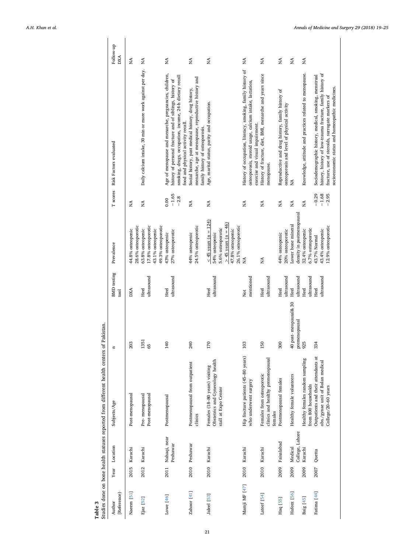<span id="page-3-0"></span>

| Table 3               |      |                            | Studies done on bone health statuses reported from different health centers                    | of Pakistan.                           |                            |                                                                                                                                  |                               |                                                                                                                                                                                                                           |                         |
|-----------------------|------|----------------------------|------------------------------------------------------------------------------------------------|----------------------------------------|----------------------------|----------------------------------------------------------------------------------------------------------------------------------|-------------------------------|---------------------------------------------------------------------------------------------------------------------------------------------------------------------------------------------------------------------------|-------------------------|
| [Reference]<br>Author |      | Year Location              | Subjects/Age                                                                                   |                                        | <b>BMD</b> testing<br>tool | Prevalence                                                                                                                       | T scores                      | Risk Factors evaluated                                                                                                                                                                                                    | Follow-up<br><b>DXA</b> |
| Naeem [51]            | 2015 | Karachi                    | Post-menopausal                                                                                | 203                                    | <b>DXA</b>                 | 28.6% osteoporotic<br>44.8% osteopenic                                                                                           | Á                             |                                                                                                                                                                                                                           | Ń                       |
| Ejaz [52]             | 2012 | Karachi                    | Post-menopausal<br>Pre-menopausal                                                              | 1351<br>55                             | ultrasound<br>Heel         | 17.8% osteoporotic<br>49.3% osteoporotic<br>63.8% osteopenic<br>43.1% osteopenic                                                 | Ń                             | Daily calcium intake, 30 min or more work against per day.                                                                                                                                                                | Ń                       |
| Lowe [46]             | 2011 | Nahaqi, near<br>Peshawar   | Postmenopausal                                                                                 | 40                                     | ultrasound<br>Heel         | 27% osteoporotic<br>43% osteopenic                                                                                               | $-1.65$<br>$-2.8$<br>0.00     | Age of menopause and menarche, pregnancies, children,<br>smoking, drugs, occupation, income, 24-h dietary recall<br>history of personal fracture and of siblings, history of<br>food and physical activity recall.        | Ń                       |
| Zahoor [41]           |      | 2010 Peshawar              | Postmenopausal from outpatient<br>clinics                                                      | 240                                    |                            | 24.5% osteoporotic<br>44% osteopenic                                                                                             | Ź                             | menarche, age at menopause, reproductive history and<br>Social history, past medical history, drug history,<br>family history of osteoporosis.                                                                            | Ź                       |
| Jaleel [53]           |      | 2010 Karachi               | Obstetrics and Gynecology health<br>Females (18-80 years) visiting<br>stall at Expo Center     | <b>DZ1</b>                             | ultrasound<br>Heel         | $<$ 45 years (n = 124)<br>$>$ 45 years (n = 46)<br>26.1% osteoporotic<br>5.6% osteoporotic<br>47.8% osteopenic<br>54% osteopenic | Ń                             | Age, marital status, parity and occupation                                                                                                                                                                                | Ń                       |
| Mamji MF [47]         |      | 2010 Karachi               | Hip fracture patients (45-80 years)<br>who underwent surgery                                   | 103                                    | mentioned<br>Not           | ΧA <sub></sub>                                                                                                                   | Ń                             | History of occupation, literacy, smoking, family history of<br>osteoporosis, steroid usage, calcium intake, lactation,<br>exercise and visual impairment.                                                                 | Ń                       |
| Lateef [54]           |      | 2010 Karachi               | clinics and healthy premenopausal<br>Females from osteoporotic<br>females                      | 50                                     | ultrasound<br>Heel         | Á                                                                                                                                | Ń                             | History of fracture, diet, BMI, menarche and years since<br>menopause.                                                                                                                                                    | ХÁ                      |
| Haq [55]              | 2009 | Faisalabad                 | Postmenopausal females                                                                         | 300                                    | ultrasound<br>Heel         | 20% osteoporotic<br>44% osteopenic                                                                                               | Ź                             | Reproductive and drug history, family history of<br>osteoporosis and level of physical activity                                                                                                                           | ÁN                      |
| Hafeez [56]           | 2009 | College, Lahore<br>Medical | Healthy female volunteers                                                                      | 40 post-meopausal& 30<br>premenopausal | ultrasound<br>Heel         | density in postmenopausal<br>Lower bone mineral                                                                                  | Ź                             | Ź                                                                                                                                                                                                                         | Ń                       |
| Baig [45]             | 2009 | Karachi                    | Healthy females random sampling<br>from 800 households                                         | 925                                    | ultrasound<br>Heel         | 6.7% osteoporotic<br>32.4% osteopenic                                                                                            | Ń                             | Knowledge, attitude and practices related to menopause.                                                                                                                                                                   | Ś                       |
| Fatima [44]           | 2007 | Quetta                     | Outpatients and their attendants at<br>obs./gynae unit of Bolan medical<br>College/20-60 years | 334                                    | ultrasound<br>Heel         | 12.9% osteoporotic<br>43.4% osteopenic<br>43.7% Normal                                                                           | $-0.29$<br>$-1.68$<br>$-2.95$ | history, history of low-trauma fracture, family history of<br>Sociodemographic history, medical, smoking, menstrual<br>socioeconomic status and homeopathic medicines.<br>fracture, use of steroids, surrogate markers of |                         |

21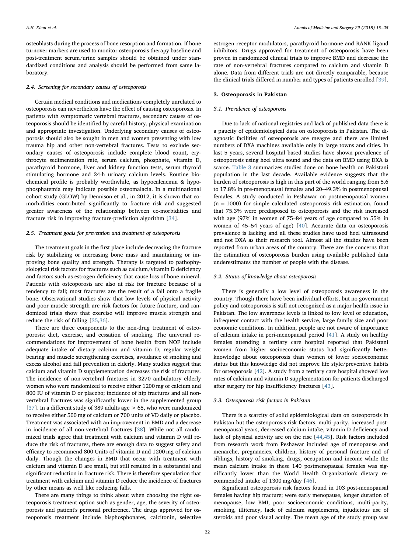osteoblasts during the process of bone resorption and formation. If bone turnover markers are used to monitor osteoporosis therapy baseline and post-treatment serum/urine samples should be obtained under standardized conditions and analysis should be performed from same laboratory.

#### 2.4. Screening for secondary causes of osteoporosis

Certain medical conditions and medications completely unrelated to osteoporosis can nevertheless have the effect of causing osteoporosis. In patients with symptomatic vertebral fractures, secondary causes of osteoporosis should be identified by careful history, physical examination and appropriate investigation. Underlying secondary causes of osteoporosis should also be sought in men and women presenting with low trauma hip and other non-vertebral fractures. Tests to exclude secondary causes of osteoporosis include complete blood count, erythrocyte sedimentation rate, serum calcium, phosphate, vitamin D, parathyroid hormone, liver and kidney function tests, serum thyroid stimulating hormone and 24-h urinary calcium levels. Routine biochemical profile is probably worthwhile, as hypocalcaemia & hypophosphatemia may indicate possible osteomalacia. In a multinational cohort study (GLOW) by Dennison et al., in 2012, it is shown that comorbidities contributed significantly to fracture risk and suggested greater awareness of the relationship between co-morbidities and fracture risk in improving fracture-prediction algorithm [[34\]](#page-6-20).

#### 2.5. Treatment goals for prevention and treatment of osteoporosis

The treatment goals in the first place include decreasing the fracture risk by stabilizing or increasing bone mass and maintaining or improving bone quality and strength. Therapy is targeted to pathophysiological risk factors for fractures such as calcium/vitamin D deficiency and factors such as estrogen deficiency that cause loss of bone mineral. Patients with osteoporosis are also at risk for fracture because of a tendency to fall; most fractures are the result of a fall onto a fragile bone. Observational studies show that low levels of physical activity and poor muscle strength are risk factors for future fracture, and randomized trials show that exercise will improve muscle strength and reduce the risk of falling [[35](#page-6-21),[36\]](#page-6-22).

There are three components to the non-drug treatment of osteoporosis: diet, exercise, and cessation of smoking. The universal recommendations for improvement of bone health from NOF include adequate intake of dietary calcium and vitamin D, regular weight bearing and muscle strengthening exercises, avoidance of smoking and excess alcohol and fall prevention in elderly. Many studies suggest that calcium and vitamin D supplementation decreases the risk of fractures. The incidence of non-vertebral fractures in 3270 ambulatory elderly women who were randomized to receive either 1200 mg of calcium and 800 IU of vitamin D or placebo; incidence of hip fractures and all nonvertebral fractures was significantly lower in the supplemented group [[37\]](#page-6-23). In a different study of 389 adults age > 65, who were randomized to receive either 500 mg of calcium or 700 units of VD daily or placebo. Treatment was associated with an improvement in BMD and a decrease in incidence of all non-vertebral fractures [\[38](#page-6-24)]. While not all randomized trials agree that treatment with calcium and vitamin D will reduce the risk of fractures, there are enough data to suggest safety and efficacy to recommend 800 Units of vitamin D and 1200 mg of calcium daily. Though the changes in BMD that occur with treatment with calcium and vitamin D are small, but still resulted in a substantial and significant reduction in fracture risk. There is therefore speculation that treatment with calcium and vitamin D reduce the incidence of fractures by other means as well like reducing falls.

There are many things to think about when choosing the right osteoporosis treatment option such as gender, age, the severity of osteoporosis and patient's personal preference. The drugs approved for osteoporosis treatment include bisphosphonates, calcitonin, selective

estrogen receptor modulators, parathyroid hormone and RANK ligand inhibitors. Drugs approved for treatment of osteoporosis have been proven in randomized clinical trials to improve BMD and decrease the rate of non-vertebral fractures compared to calcium and vitamin D alone. Data from different trials are not directly comparable, because the clinical trials differed in number and types of patients enrolled [\[39](#page-6-25)].

#### 3. Osteoporosis in Pakistan

#### 3.1. Prevalence of osteoporosis

Due to lack of national registries and lack of published data there is a paucity of epidemiological data on osteoporosis in Pakistan. The diagnostic facilities of osteoporosis are meagre and there are limited numbers of DXA machines available only in large towns and cities. In last 5 years, several hospital based studies have shown prevalence of osteoporosis using heel ultra sound and the data on BMD using DXA is scarce. [Table 3](#page-3-0) summarizes studies done on bone health on Pakistani population in the last decade. Available evidence suggests that the burden of osteoporosis is high in this part of the world ranging from 5.6 to 17.8% in pre-menopausal females and 20–49.3% in postmenopausal females. A study conducted in Peshawar on postmenopausal women  $(n = 1000)$  for simple calculated osteoporosis risk estimation, found that 75.3% were predisposed to osteoporosis and the risk increased with age (97% in women of 75–84 years of age compared to 55% in women of 45–54 years of age) [[40\]](#page-6-26). Accurate data on osteoporosis prevalence is lacking and all these studies have used heel ultrasound and not DXA as their research tool. Almost all the studies have been reported from urban areas of the country. There are the concerns that the estimation of osteoporosis burden using available published data underestimates the number of people with the disease.

#### 3.2. Status of knowledge about osteoporosis

There is generally a low level of osteoporosis awareness in the country. Though there have been individual efforts, but no government policy and osteoporosis is still not recognized as a major health issue in Pakistan. The low awareness levels is linked to low level of education, infrequent contact with the health service, large family size and poor economic conditions. In addition, people are not aware of importance of calcium intake in peri-menopausal period [[41\]](#page-6-16). A study on healthy females attending a tertiary care hospital reported that Pakistani women from higher socioeconomic status had significantly better knowledge about osteoporosis than women of lower socioeconomic status but this knowledge did not improve life style/preventive habits for osteoporosis [\[42](#page-6-27)]. A study from a tertiary care hospital showed low rates of calcium and vitamin D supplementation for patients discharged after surgery for hip insufficiency fractures [[43\]](#page-6-28).

#### 3.3. Osteoporosis risk factors in Pakistan

There is a scarcity of solid epidemiological data on osteoporosis in Pakistan but the osteoporosis risk factors, multi-parity, increased postmenopausal years, decreased calcium intake, vitamin D deficiency and lack of physical activity are on the rise [[44](#page-6-19)[,45](#page-6-18)]. Risk factors included from research work from Peshawar included age of menopause and menarche, pregnancies, children, history of personal fracture and of siblings, history of smoking, drugs, occupation and income while the mean calcium intake in these 140 postmenopausal females was significantly lower than the World Health Organization's dietary recommended intake of 1300 mg/day [\[46](#page-6-15)].

Significant osteoporosis risk factors found in 103 post-menopausal females having hip fracture; were early menopause, longer duration of menopause, low BMI, poor socioeconomic conditions, multi-parity, smoking, illiteracy, lack of calcium supplements, injudicious use of steroids and poor visual acuity. The mean age of the study group was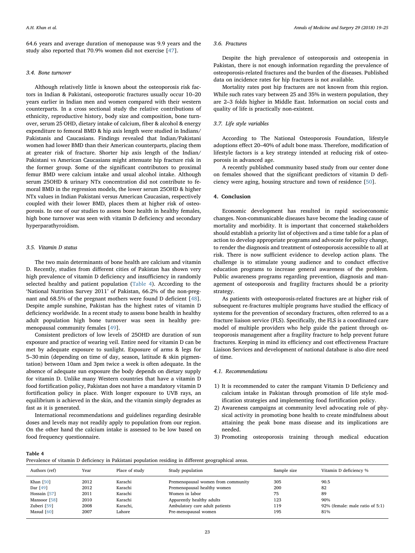64.6 years and average duration of menopause was 9.9 years and the study also reported that 70.9% women did not exercise [[47\]](#page-6-17).

#### 3.4. Bone turnover

Although relatively little is known about the osteoporosis risk factors in Indian & Pakistani, osteoporotic fractures usually occur 10–20 years earlier in Indian men and women compared with their western counterparts. In a cross sectional study the relative contributions of ethnicity, reproductive history, body size and composition, bone turnover, serum 25 OHD, dietary intake of calcium, fiber & alcohol & energy expenditure to femoral BMD & hip axis length were studied in Indians/ Pakistanis and Caucasians. Findings revealed that Indian/Pakistani women had lower BMD than their American counterparts, placing them at greater risk of fracture. Shorter hip axis length of the Indian/ Pakistani vs American Caucasians might attenuate hip fracture risk in the former group. Some of the significant contributors to proximal femur BMD were calcium intake and usual alcohol intake. Although serum 25OHD & urinary NTx concentration did not contribute to femoral BMD in the regression models, the lower serum 25OHD & higher NTx values in Indian Pakistani versus American Caucasian, respectively coupled with their lower BMD, places them at higher risk of osteoporosis. In one of our studies to assess bone health in healthy females, high bone turnover was seen with vitamin D deficiency and secondary hyperparathyroidism.

#### 3.5. Vitamin D status

The two main determinants of bone health are calcium and vitamin D. Recently, studies from different cities of Pakistan has shown very high prevalence of vitamin D deficiency and insufficiency in randomly selected healthy and patient population [\(Table 4\)](#page-5-0). According to the 'National Nutrition Survey 2011' of Pakistan, 66.2% of the non-pregnant and 68.5% of the pregnant mothers were found D deficient [\[48](#page-7-6)]. Despite ample sunshine, Pakistan has the highest rates of vitamin D deficiency worldwide. In a recent study to assess bone health in healthy adult population high bone turnover was seen in healthy premenopausal community females [[49\]](#page-7-7).

Consistent predictors of low levels of 25OHD are duration of sun exposure and practice of wearing veil. Entire need for vitamin D can be met by adequate exposure to sunlight. Exposure of arms & legs for 5–30 min (depending on time of day, season, latitude & skin pigmentation) between 10am and 3pm twice a week is often adequate. In the absence of adequate sun exposure the body depends on dietary supply for vitamin D. Unlike many Western countries that have a vitamin D food fortification policy, Pakistan does not have a mandatory vitamin D fortification policy in place. With longer exposure to UVB rays, an equilibrium is achieved in the skin, and the vitamin simply degrades as fast as it is generated.

International recommendations and guidelines regarding desirable doses and levels may not readily apply to population from our region. On the other hand the calcium intake is assessed to be low based on food frequency questionnaire.

#### 3.6. Fractures

Despite the high prevalence of osteoporosis and osteopenia in Pakistan, there is not enough information regarding the prevalence of osteoporosis-related fractures and the burden of the diseases. Published data on incidence rates for hip fractures is not available.

Mortality rates post hip fractures are not known from this region. While such rates vary between 25 and 35% in western population, they are 2–3 folds higher in Middle East. Information on social costs and quality of life is practically non-existent.

#### 3.7. Life style variables

According to The National Osteoporosis Foundation, lifestyle adoptions effect 20–40% of adult bone mass. Therefore, modification of lifestyle factors is a key strategy intended at reducing risk of osteoporosis in advanced age.

A recently published community based study from our center done on females showed that the significant predictors of vitamin D deficiency were aging, housing structure and town of residence [\[50](#page-7-8)].

#### 4. Conclusion

Economic development has resulted in rapid socioeconomic changes. Non-communicable diseases have become the leading cause of mortality and morbidity. It is important that concerned stakeholders should establish a priority list of objectives and a time table for a plan of action to develop appropriate programs and advocate for policy change, to render the diagnosis and treatment of osteoporosis accessible to all at risk. There is now sufficient evidence to develop action plans. The challenge is to stimulate young audience and to conduct effective education programs to increase general awareness of the problem. Public awareness programs regarding prevention, diagnosis and management of osteoporosis and fragility fractures should be a priority strategy.

As patients with osteoporosis-related fractures are at higher risk of subsequent re-fractures multiple programs have studied the efficacy of systems for the prevention of secondary fractures, often referred to as a fracture liaison service (FLS). Specifically, the FLS is a coordinated care model of multiple providers who help guide the patient through osteoporosis management after a fragility fracture to help prevent future fractures. Keeping in mind its efficiency and cost effectiveness Fracture Liaison Services and development of national database is also dire need of time.

#### 4.1. Recommendations

- 1) It is recommended to cater the rampant Vitamin D Deficiency and calcium intake in Pakistan through promotion of life style modification strategies and implementing food fortification policy.
- 2) Awareness campaigns at community level advocating role of physical activity in promoting bone health to create mindfulness about attaining the peak bone mass disease and its implications are needed.
- 3) Promoting osteoporosis training through medical education

<span id="page-5-0"></span>Table 4

Prevalence of vitamin D deficiency in Pakistani population residing in different geographical areas.

| Authors (ref) | Year | Place of study | Study population                   | Sample size | Vitamin D deficiency %          |
|---------------|------|----------------|------------------------------------|-------------|---------------------------------|
| Khan $[50]$   | 2012 | Karachi        | Premenopausal women from community | 305         | 90.5                            |
| Dar [49]      | 2012 | Karachi        | Premenopausal healthy women        | 200         | 82                              |
| Hossain [57]  | 2011 | Karachi        | Women in labor                     | 75          | 89                              |
| Mansoor [58]  | 2010 | Karachi        | Apparently healthy adults          | 123         | 90%                             |
| Zuberi [59]   | 2008 | Karachi,       | Ambulatory care adult patients     | 119         | 92% (female: male ratio of 5:1) |
| Masud $[60]$  | 2007 | Lahore         | Pre-menopausal women               | 195         | 81%                             |
|               |      |                |                                    |             |                                 |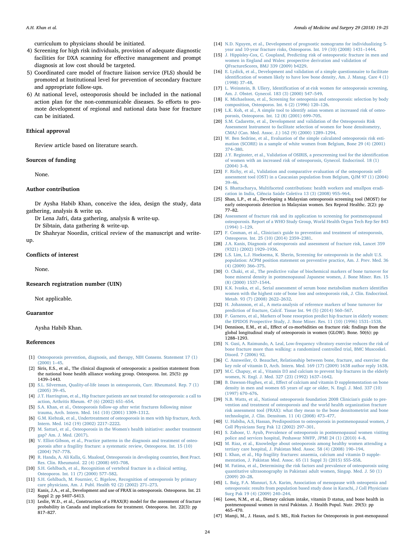#### A.H. Khan et al. *Annals of Medicine and Surgery 29 (2018) 19–25*

curriculum to physicians should be initiated.

- 4) Screening for high risk individuals, provision of adequate diagnostic facilities for DXA scanning for effective management and prompt diagnosis at low cost should be targeted.
- 5) Coordinated care model of fracture liaison service (FLS) should be promoted at Institutional level for prevention of secondary fracture and appropriate follow-ups.
- 6) At national level, osteoporosis should be included in the national action plan for the non-communicable diseases. So efforts to promote development of regional and national data base for fracture can be initiated.

#### Ethical approval

Review article based on literature search.

#### Sources of funding

None.

#### Author contribution

Dr Aysha Habib Khan, conceive the idea, design the study, data gathering, analysis & write up.

Dr Lena Jafri, data gathering, analysis & write-up.

Dr Sibtain, data gathering & write-up.

Dr Shahryar Noordin, critical review of the manuscript and writeup.

### Conflicts of interest

None.

#### Research registration number (UIN)

Not applicable.

#### Guarantor

Aysha Habib Khan.

#### References

- <span id="page-6-0"></span>[1] [Osteoporosis prevention, diagnosis, and therapy, NIH Consens. Statement 17 \(1\)](http://refhub.elsevier.com/S2049-0801(18)30043-8/sref1) [\(2000\) 1](http://refhub.elsevier.com/S2049-0801(18)30043-8/sref1)–45.
- <span id="page-6-1"></span>[2] Siris, E.S., et al., The clinical diagnosis of osteoporosis: a position statement from the national bone health alliance working group. Osteoporos. Int. 25(5): pp 1439–1443.
- <span id="page-6-2"></span>[3] [S.L. Silverman, Quality-of-life issues in osteoporosis, Curr. Rheumatol. Rep. 7 \(1\)](http://refhub.elsevier.com/S2049-0801(18)30043-8/sref3) [\(2005\) 39](http://refhub.elsevier.com/S2049-0801(18)30043-8/sref3)–45.
- <span id="page-6-3"></span>[4] [J.T. Harrington, et al., Hip fracture patients are not treated for osteoporosis: a call to](http://refhub.elsevier.com/S2049-0801(18)30043-8/sref4) [action, Arthritis Rheum. 47 \(6\) \(2002\) 651](http://refhub.elsevier.com/S2049-0801(18)30043-8/sref4)–654.
- [5] [S.A. Khan, et al., Osteoporosis follow-up after wrist fractures following minor](http://refhub.elsevier.com/S2049-0801(18)30043-8/sref5) [trauma, Arch. Intern. Med. 161 \(10\) \(2001\) 1309](http://refhub.elsevier.com/S2049-0801(18)30043-8/sref5)–1312.
- [6] [G.M. Kiebzak, et al., Undertreatment of osteoporosis in men with hip fracture, Arch.](http://refhub.elsevier.com/S2049-0801(18)30043-8/sref6) [Intern. Med. 162 \(19\) \(2002\) 2217](http://refhub.elsevier.com/S2049-0801(18)30043-8/sref6)–2222.
- [7] [M. Sattari, et al., Osteoporosis in the Women's health initiative: another treatment](http://refhub.elsevier.com/S2049-0801(18)30043-8/sref7) [gap? Am. J. Med. \(2017\).](http://refhub.elsevier.com/S2049-0801(18)30043-8/sref7)
- <span id="page-6-4"></span>[8] [V. Elliot-Gibson, et al., Practice patterns in the diagnosis and treatment of osteo](http://refhub.elsevier.com/S2049-0801(18)30043-8/sref8)[porosis after a fragility fracture: a systematic review, Osteoporos. Int. 15 \(10\)](http://refhub.elsevier.com/S2049-0801(18)30043-8/sref8) [\(2004\) 767](http://refhub.elsevier.com/S2049-0801(18)30043-8/sref8)–778.
- <span id="page-6-5"></span>[9] [R. Handa, A. Ali Kalla, G. Maalouf, Osteoporosis in developing countries, Best Pract.](http://refhub.elsevier.com/S2049-0801(18)30043-8/sref9) [Res. Clin. Rheumatol. 22 \(4\) \(2008\) 693](http://refhub.elsevier.com/S2049-0801(18)30043-8/sref9)–708.
- <span id="page-6-6"></span>[10] [S.H. Gehlbach, et al., Recognition of vertebral fracture in a clinical setting,](http://refhub.elsevier.com/S2049-0801(18)30043-8/sref10) [Osteoporos. Int. 11 \(7\) \(2000\) 577](http://refhub.elsevier.com/S2049-0801(18)30043-8/sref10)–582.
- <span id="page-6-7"></span>[11] [S.H. Gehlbach, M. Fournier, C. Bigelow, Recognition of osteoporosis by primary](http://refhub.elsevier.com/S2049-0801(18)30043-8/sref11) [care physicians, Am. J. Publ. Health 92 \(2\) \(2002\) 271](http://refhub.elsevier.com/S2049-0801(18)30043-8/sref11)–273.
- <span id="page-6-8"></span>[12] Kanis, J.A., et al., Development and use of FRAX in osteoporosis. Osteoporos. Int. 21 Suppl 2: pp S407–S413.
- [13] Leslie, W.D., et al., Construction of a FRAX(R) model for the assessment of fracture probability in Canada and implications for treatment. Osteoporos. Int. 22(3): pp 817–827.
- 
- [14] [N.D. Nguyen, et al., Development of prognostic nomograms for individualizing 5](http://refhub.elsevier.com/S2049-0801(18)30043-8/sref14) [year and 10-year fracture risks, Osteoporos. Int. 19 \(10\) \(2008\) 1431](http://refhub.elsevier.com/S2049-0801(18)30043-8/sref14)–1444.
- [15] [J. Hippisley-Cox, C. Coupland, Predicting risk of osteoporotic fracture in men and](http://refhub.elsevier.com/S2049-0801(18)30043-8/sref15) [women in England and Wales: prospective derivation and validation of](http://refhub.elsevier.com/S2049-0801(18)30043-8/sref15) [QFractureScores, BMJ 339 \(2009\) b4229.](http://refhub.elsevier.com/S2049-0801(18)30043-8/sref15)
- [16] [E. Lydick, et al., Development and validation of a simple questionnaire to facilitate](http://refhub.elsevier.com/S2049-0801(18)30043-8/sref16) identifi[cation of women likely to have low bone density, Am. J. Manag. Care 4 \(1\)](http://refhub.elsevier.com/S2049-0801(18)30043-8/sref16) [\(1998\) 37](http://refhub.elsevier.com/S2049-0801(18)30043-8/sref16)–48.
- [17] L. Weinstein, B. Ullery, Identifi[cation of at-risk women for osteoporosis screening,](http://refhub.elsevier.com/S2049-0801(18)30043-8/sref17) [Am. J. Obstet. Gynecol. 183 \(3\) \(2000\) 547](http://refhub.elsevier.com/S2049-0801(18)30043-8/sref17)–549.
- [18] [K. Michaelsson, et al., Screening for osteopenia and osteoporosis: selection by body](http://refhub.elsevier.com/S2049-0801(18)30043-8/sref18) composition, [Osteoporos. Int. 6 \(2\) \(1996\) 120](http://refhub.elsevier.com/S2049-0801(18)30043-8/sref18)–126.
- [19] [L.K. Koh, et al., A simple tool to identify asian women at increased risk of osteo](http://refhub.elsevier.com/S2049-0801(18)30043-8/sref19)[porosis, Osteoporos. Int. 12 \(8\) \(2001\) 699](http://refhub.elsevier.com/S2049-0801(18)30043-8/sref19)–705.
- [20] [S.M. Cadarette, et al., Development and validation of the Osteoporosis Risk](http://refhub.elsevier.com/S2049-0801(18)30043-8/sref20) [Assessment Instrument to facilitate selection of women for bone densitometry,](http://refhub.elsevier.com/S2049-0801(18)30043-8/sref20) [CMAJ \(Can. Med. Assoc. J.\) 162 \(9\) \(2000\) 1289](http://refhub.elsevier.com/S2049-0801(18)30043-8/sref20)–1294.
- [21] [W. Ben Sedrine, et al., Evaluation of the simple calculated osteoporosis risk esti](http://refhub.elsevier.com/S2049-0801(18)30043-8/sref21)[mation \(SCORE\) in a sample of white women from Belgium, Bone 29 \(4\) \(2001\)](http://refhub.elsevier.com/S2049-0801(18)30043-8/sref21) 374–[380.](http://refhub.elsevier.com/S2049-0801(18)30043-8/sref21)
- [22] [J.Y. Reginster, et al., Validation of OSIRIS, a prescreening tool for the identi](http://refhub.elsevier.com/S2049-0801(18)30043-8/sref22)fication [of women with an increased risk of osteoporosis, Gynecol. Endocrinol. 18 \(1\)](http://refhub.elsevier.com/S2049-0801(18)30043-8/sref22) [\(2004\) 3](http://refhub.elsevier.com/S2049-0801(18)30043-8/sref22)–8.
- [23] [F. Richy, et al., Validation and comparative evaluation of the osteoporosis self](http://refhub.elsevier.com/S2049-0801(18)30043-8/sref23)[assessment tool \(OST\) in a Caucasian population from Belgium, QJM 97 \(1\) \(2004\)](http://refhub.elsevier.com/S2049-0801(18)30043-8/sref23) 39–[46.](http://refhub.elsevier.com/S2049-0801(18)30043-8/sref23)
- [24] [S. Bhattacharya, Multifaceted contributions: health workers and smallpox eradi](http://refhub.elsevier.com/S2049-0801(18)30043-8/sref24)[cation in India, Ciência Saúde Coletiva 13 \(3\) \(2008\) 955](http://refhub.elsevier.com/S2049-0801(18)30043-8/sref24)–964.
- [25] Shan, L.P., et al., Developing a Malaysian osteoporosis screening tool (MOST) for early osteoporosis detection in Malaysian women. Sex Reprod Healthc. 2(2): pp 77–82.
- <span id="page-6-9"></span>[26] [Assessment of fracture risk and its application to screening for postmenopausal](http://refhub.elsevier.com/S2049-0801(18)30043-8/sref26) [osteoporosis. Report of a WHO Study Group, World Health Organ Tech Rep Ser 843](http://refhub.elsevier.com/S2049-0801(18)30043-8/sref26) [\(1994\) 1](http://refhub.elsevier.com/S2049-0801(18)30043-8/sref26)–129.
- <span id="page-6-10"></span>[27] [F. Cosman, et al., Clinician's guide to prevention and treatment of osteoporosis,](http://refhub.elsevier.com/S2049-0801(18)30043-8/sref27) [Osteoporos. Int. 25 \(10\) \(2014\) 2359](http://refhub.elsevier.com/S2049-0801(18)30043-8/sref27)–2381.
- <span id="page-6-11"></span>[28] [J.A. Kanis, Diagnosis of osteoporosis and assessment of fracture risk, Lancet 359](http://refhub.elsevier.com/S2049-0801(18)30043-8/sref28) [\(9321\) \(2002\) 1929](http://refhub.elsevier.com/S2049-0801(18)30043-8/sref28)–1936.
- <span id="page-6-12"></span>[29] [L.S. Lim, L.J. Hoeksema, K. Sherin, Screening for osteoporosis in the adult U.S.](http://refhub.elsevier.com/S2049-0801(18)30043-8/sref29) [population: ACPM position statement on preventive practice, Am. J. Prev. Med. 36](http://refhub.elsevier.com/S2049-0801(18)30043-8/sref29) [\(4\) \(2009\) 366](http://refhub.elsevier.com/S2049-0801(18)30043-8/sref29)–375.
- <span id="page-6-13"></span>[30] [O. Chaki, et al., The predictive value of biochemical markers of bone turnover for](http://refhub.elsevier.com/S2049-0801(18)30043-8/sref30) [bone mineral density in postmenopausal Japanese women, J. Bone Miner. Res. 15](http://refhub.elsevier.com/S2049-0801(18)30043-8/sref30) [\(8\) \(2000\) 1537](http://refhub.elsevier.com/S2049-0801(18)30043-8/sref30)–1544.
- [31] [K.K. Ivaska, et al., Serial assessment of serum bone metabolism markers identi](http://refhub.elsevier.com/S2049-0801(18)30043-8/sref31)fies [women with the highest rate of bone loss and osteoporosis risk, J. Clin. Endocrinol.](http://refhub.elsevier.com/S2049-0801(18)30043-8/sref31) [Metab. 93 \(7\) \(2008\) 2622](http://refhub.elsevier.com/S2049-0801(18)30043-8/sref31)–2632.
- [32] [H. Johansson, et al., A meta-analysis of reference markers of bone turnover for](http://refhub.elsevier.com/S2049-0801(18)30043-8/sref32) [prediction of fracture, Calcif. Tissue Int. 94 \(5\) \(2014\) 560](http://refhub.elsevier.com/S2049-0801(18)30043-8/sref32)–567.
- <span id="page-6-14"></span>[33] [P. Garnero, et al., Markers of bone resorption predict hip fracture in elderly women:](http://refhub.elsevier.com/S2049-0801(18)30043-8/sref33) [the EPIDOS Prospective Study, J. Bone Miner. Res. 11 \(10\) \(1996\) 1531](http://refhub.elsevier.com/S2049-0801(18)30043-8/sref33)–1538.
- <span id="page-6-20"></span>[34] Dennison, E.M., et al., Effect of co-morbidities on fracture risk: findings from the global longitudinal study of osteoporosis in women (GLOW). Bone. 50(6): pp 1288–1293.
- <span id="page-6-21"></span>[35] [N. Gusi, A. Raimundo, A. Leal, Low-frequency vibratory exercise reduces the risk of](http://refhub.elsevier.com/S2049-0801(18)30043-8/sref35) [bone fracture more than walking: a randomized controlled trial, BMC Muscoskel.](http://refhub.elsevier.com/S2049-0801(18)30043-8/sref35) [Disord. 7 \(2006\) 92.](http://refhub.elsevier.com/S2049-0801(18)30043-8/sref35)
- <span id="page-6-22"></span>[36] [C. Annweiler, O. Beauchet, Relationship between bone, fracture, and exercise: the](http://refhub.elsevier.com/S2049-0801(18)30043-8/sref36) [key role of vitamin D, Arch. Intern. Med. 169 \(17\) \(2009\) 1638 author reply 1638.](http://refhub.elsevier.com/S2049-0801(18)30043-8/sref36)
- <span id="page-6-23"></span>[37] [M.C. Chapuy, et al., Vitamin D3 and calcium to prevent hip fractures in the elderly](http://refhub.elsevier.com/S2049-0801(18)30043-8/sref37) [women, N. Engl. J. Med. 327 \(23\) \(1992\) 1637](http://refhub.elsevier.com/S2049-0801(18)30043-8/sref37)–1642.
- <span id="page-6-24"></span>[38] B. Dawson-Hughes, et al., Eff[ect of calcium and vitamin D supplementation on bone](http://refhub.elsevier.com/S2049-0801(18)30043-8/sref38) [density in men and women 65 years of age or older, N. Engl. J. Med. 337 \(10\)](http://refhub.elsevier.com/S2049-0801(18)30043-8/sref38) [\(1997\) 670](http://refhub.elsevier.com/S2049-0801(18)30043-8/sref38)–676.
- <span id="page-6-25"></span>[39] [N.B. Watts, et al., National osteoporosis foundation 2008 Clinician's guide to pre](http://refhub.elsevier.com/S2049-0801(18)30043-8/sref39)[vention and treatment of osteoporosis and the world health organization fracture](http://refhub.elsevier.com/S2049-0801(18)30043-8/sref39) [risk assessment tool \(FRAX\): what they mean to the bone densitometrist and bone](http://refhub.elsevier.com/S2049-0801(18)30043-8/sref39) [technologist, J. Clin. Densitom. 11 \(4\) \(2008\) 473](http://refhub.elsevier.com/S2049-0801(18)30043-8/sref39)–477.
- <span id="page-6-26"></span>[40] [U. Habiba, A.S, Hassan, Predisposition to osteoporosis in postmenopausal women, J](http://refhub.elsevier.com/S2049-0801(18)30043-8/sref40) [Coll Physicians Surg Pak 12 \(2002\) 297](http://refhub.elsevier.com/S2049-0801(18)30043-8/sref40)–301.
- <span id="page-6-16"></span>[41] [S. Zahoor, U. Ayub, Prevalence of osteoporosis in postmenopausal women visiting](http://refhub.elsevier.com/S2049-0801(18)30043-8/sref41) [police and services hospital, Peshawar NWFP, JPMI 24 \(1\) \(2010\) 4](http://refhub.elsevier.com/S2049-0801(18)30043-8/sref41)–8.
- <span id="page-6-27"></span>[42] [M. Riaz, et al., Knowledge about osteoporosis among healthy women attending a](http://refhub.elsevier.com/S2049-0801(18)30043-8/sref42) [tertiary care hospital, J. Pakistan Med. Assoc. 58 \(4\) \(2008\) 190](http://refhub.elsevier.com/S2049-0801(18)30043-8/sref42)–194.
- <span id="page-6-28"></span>[43] [I. Khan, et al., Hip fragility fractures: anaemia, calcium and vitamin D supple](http://refhub.elsevier.com/S2049-0801(18)30043-8/sref43)[mentation, J. Pakistan Med. Assoc. 65 \(11 Suppl 3\) \(2015\) S55](http://refhub.elsevier.com/S2049-0801(18)30043-8/sref43)–S58.
- <span id="page-6-19"></span>[44] [M. Fatima, et al., Determining the risk factors and prevalence of osteoporosis using](http://refhub.elsevier.com/S2049-0801(18)30043-8/sref44) [quantitative ultrasonography in Pakistani adult women, Singap. Med. J. 50 \(1\)](http://refhub.elsevier.com/S2049-0801(18)30043-8/sref44) [\(2009\) 20](http://refhub.elsevier.com/S2049-0801(18)30043-8/sref44)–28.
- <span id="page-6-18"></span>[45] [L. Baig, F.A. Mansuri, S.A. Karim, Association of menopause with osteopenia and](http://refhub.elsevier.com/S2049-0801(18)30043-8/sref45) [osteoporosis: results from population based study done in Karachi, J Coll Physicians](http://refhub.elsevier.com/S2049-0801(18)30043-8/sref45) [Surg Pak 19 \(4\) \(2009\) 240](http://refhub.elsevier.com/S2049-0801(18)30043-8/sref45)–244.
- <span id="page-6-15"></span>[46] Lowe, N.M., et al., Dietary calcium intake, vitamin D status, and bone health in postmenopausal women in rural Pakistan. J. Health Popul. Nutr. 29(5): pp 465–470.
- <span id="page-6-17"></span>[47] Mamji, M., J. Hasan, and S. MS., Risk Factors for Osteoporosis in post-menopausal